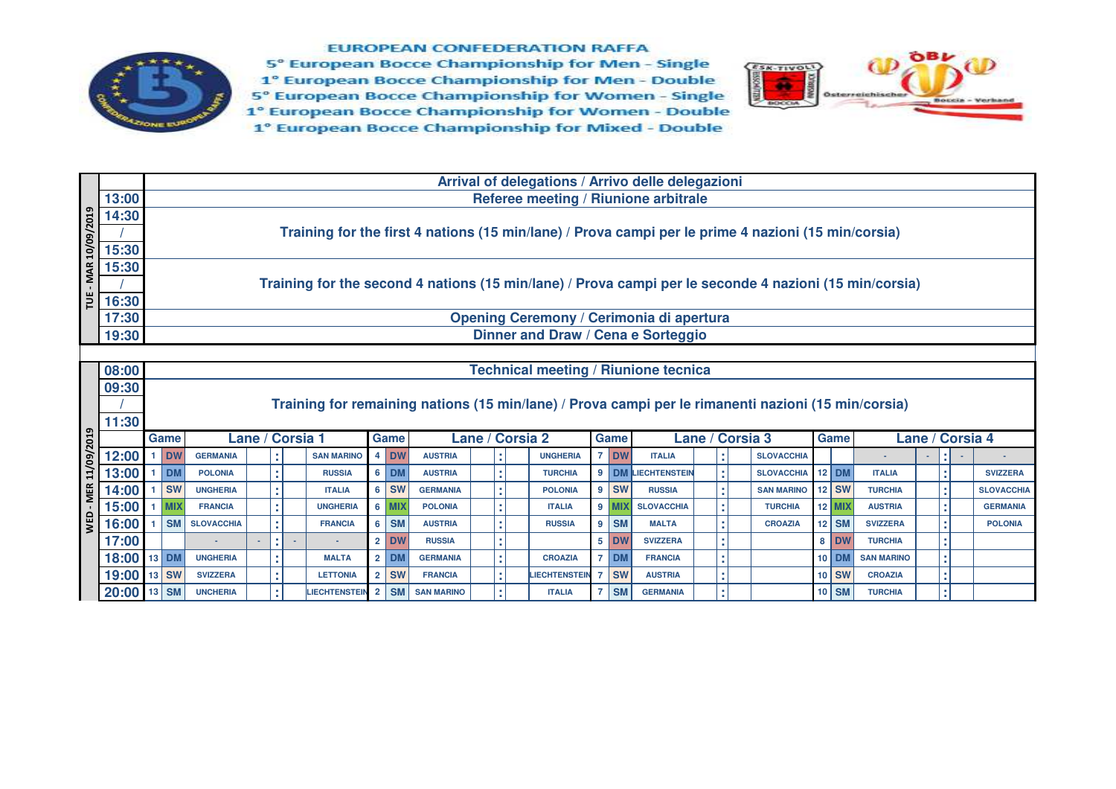

**EUROPEAN CONFEDERATION RAFFA** 

5° European Bocce Championship for Men - Single 1° European Bocce Championship for Men - Double 5° European Bocce Championship for Women - Single 1° European Bocce Championship for Women - Double 1° European Bocce Championship for Mixed - Double



|                             |               |       |            |                   |   |                 |                      |                |         |                   |                 |  |                     |                |           | Arrival of delegations / Arrivo delle delegazioni                                                      |                 |                   |          |                   |               |                   |
|-----------------------------|---------------|-------|------------|-------------------|---|-----------------|----------------------|----------------|---------|-------------------|-----------------|--|---------------------|----------------|-----------|--------------------------------------------------------------------------------------------------------|-----------------|-------------------|----------|-------------------|---------------|-------------------|
|                             | 13:00         |       |            |                   |   |                 |                      |                |         |                   |                 |  |                     |                |           | Referee meeting / Riunione arbitrale                                                                   |                 |                   |          |                   |               |                   |
|                             | 14:30         |       |            |                   |   |                 |                      |                |         |                   |                 |  |                     |                |           |                                                                                                        |                 |                   |          |                   |               |                   |
|                             |               |       |            |                   |   |                 |                      |                |         |                   |                 |  |                     |                |           | Training for the first 4 nations (15 min/lane) / Prova campi per le prime 4 nazioni (15 min/corsia)    |                 |                   |          |                   |               |                   |
| TUE - MAR 10/09/2019        | 15:30         |       |            |                   |   |                 |                      |                |         |                   |                 |  |                     |                |           |                                                                                                        |                 |                   |          |                   |               |                   |
|                             | 15:30         |       |            |                   |   |                 |                      |                |         |                   |                 |  |                     |                |           |                                                                                                        |                 |                   |          |                   |               |                   |
|                             |               |       |            |                   |   |                 |                      |                |         |                   |                 |  |                     |                |           | Training for the second 4 nations (15 min/lane) / Prova campi per le seconde 4 nazioni (15 min/corsia) |                 |                   |          |                   |               |                   |
|                             | 16:30         |       |            |                   |   |                 |                      |                |         |                   |                 |  |                     |                |           |                                                                                                        |                 |                   |          |                   |               |                   |
|                             | 17:30         |       |            |                   |   |                 |                      |                |         |                   |                 |  |                     |                |           | Opening Ceremony / Cerimonia di apertura                                                               |                 |                   |          |                   |               |                   |
|                             | 19:30         |       |            |                   |   |                 |                      |                |         |                   |                 |  |                     |                |           | Dinner and Draw / Cena e Sorteggio                                                                     |                 |                   |          |                   |               |                   |
|                             |               |       |            |                   |   |                 |                      |                |         |                   |                 |  |                     |                |           |                                                                                                        |                 |                   |          |                   |               |                   |
|                             | 08:00         |       |            |                   |   |                 |                      |                |         |                   |                 |  |                     |                |           | <b>Technical meeting / Riunione tecnica</b>                                                            |                 |                   |          |                   |               |                   |
|                             | 09:30         |       |            |                   |   |                 |                      |                |         |                   |                 |  |                     |                |           |                                                                                                        |                 |                   |          |                   |               |                   |
|                             |               |       |            |                   |   |                 |                      |                |         |                   |                 |  |                     |                |           | Training for remaining nations (15 min/lane) / Prova campi per le rimanenti nazioni (15 min/corsia)    |                 |                   |          |                   |               |                   |
|                             | 11:30         |       |            |                   |   |                 |                      |                |         |                   |                 |  |                     |                |           |                                                                                                        |                 |                   |          |                   |               |                   |
| <b>WED - MER 11/09/2019</b> |               |       | Game       |                   |   | Lane / Corsia 1 |                      |                | Game    |                   | Lane / Corsia 2 |  |                     |                | Game      |                                                                                                        | Lane / Corsia 3 |                   | Game     |                   |               | Lane / Corsia 4   |
|                             | 12:00         |       | <b>DW</b>  | <b>GERMANIA</b>   |   |                 | <b>SAN MARINO</b>    |                | 4 DW    | <b>AUSTRIA</b>    |                 |  | <b>UNGHERIA</b>     | $\overline{7}$ | <b>DW</b> | <b>ITALIA</b>                                                                                          |                 | <b>SLOVACCHIA</b> |          |                   |               |                   |
|                             | 13:00         |       | <b>DM</b>  | <b>POLONIA</b>    |   |                 | <b>RUSSIA</b>        |                | 6 DM    | <b>AUSTRIA</b>    |                 |  | <b>TURCHIA</b>      |                |           | 9 DM LIECHTENSTEIN                                                                                     |                 | <b>SLOVACCHIA</b> | $12$ DM  | <b>ITALIA</b>     |               | <b>SVIZZERA</b>   |
|                             | 14:00         |       | <b>SW</b>  | <b>UNGHERIA</b>   |   |                 | <b>ITALIA</b>        |                | $6$ SW  | <b>GERMANIA</b>   |                 |  | <b>POLONIA</b>      |                | 9 SW      | <b>RUSSIA</b>                                                                                          |                 | <b>SAN MARINO</b> | $12$ SW  | <b>TURCHIA</b>    |               | <b>SLOVACCHIA</b> |
|                             | 15:00         |       | <b>MIX</b> | <b>FRANCIA</b>    | ٠ |                 | <b>UNGHERIA</b>      |                | $6$ MIX | <b>POLONIA</b>    |                 |  | <b>ITALIA</b>       |                | $9$ MIX   | <b>SLOVACCHIA</b>                                                                                      |                 | <b>TURCHIA</b>    | $12$ MIX | <b>AUSTRIA</b>    | ٠             | <b>GERMANIA</b>   |
|                             | 16:00         |       | <b>SM</b>  | <b>SLOVACCHIA</b> |   |                 | <b>FRANCIA</b>       |                | 6 SM    | <b>AUSTRIA</b>    |                 |  | <b>RUSSIA</b>       | 9              | <b>SM</b> | <b>MALTA</b>                                                                                           |                 | <b>CROAZIA</b>    | $12$ SM  | <b>SVIZZERA</b>   | ٠             | <b>POLONIA</b>    |
|                             | 17:00         |       |            |                   |   |                 |                      |                | $2$ DW  | <b>RUSSIA</b>     |                 |  |                     |                | 5 DW      | <b>SVIZZERA</b>                                                                                        |                 |                   | 8 DW     | <b>TURCHIA</b>    | ٠.            |                   |
|                             | 18:00         | 13 DM |            | <b>UNGHERIA</b>   |   |                 | <b>MALTA</b>         |                | $2$ DM  | <b>GERMANIA</b>   |                 |  | <b>CROAZIA</b>      | $\overline{7}$ | <b>DM</b> | <b>FRANCIA</b>                                                                                         |                 |                   | 10 DM    | <b>SAN MARINO</b> | ×             |                   |
|                             | 19:00 13 SW   |       |            | <b>SVIZZERA</b>   |   |                 | <b>LETTONIA</b>      |                | $2$ SW  | <b>FRANCIA</b>    |                 |  | <b>IECHTENSTEIN</b> | 7              | <b>SW</b> | <b>AUSTRIA</b>                                                                                         |                 |                   | 10 SW    | <b>CROAZIA</b>    | ×             |                   |
|                             | $20:00$ 13 SM |       |            | <b>UNCHERIA</b>   |   |                 | <b>LIECHTENSTEIN</b> | 2 <sup>1</sup> | SM      | <b>SAN MARINO</b> |                 |  | <b>ITALIA</b>       | 7              | <b>SM</b> | <b>GERMANIA</b>                                                                                        |                 |                   | 10 SM    | <b>TURCHIA</b>    | ×<br><b>.</b> |                   |